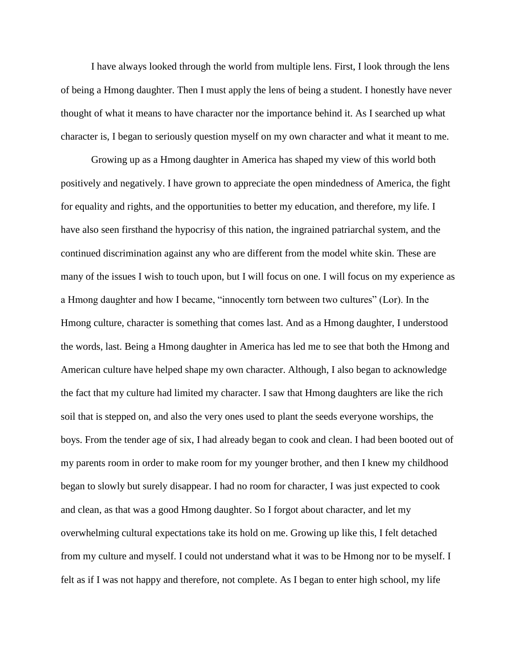I have always looked through the world from multiple lens. First, I look through the lens of being a Hmong daughter. Then I must apply the lens of being a student. I honestly have never thought of what it means to have character nor the importance behind it. As I searched up what character is, I began to seriously question myself on my own character and what it meant to me.

Growing up as a Hmong daughter in America has shaped my view of this world both positively and negatively. I have grown to appreciate the open mindedness of America, the fight for equality and rights, and the opportunities to better my education, and therefore, my life. I have also seen firsthand the hypocrisy of this nation, the ingrained patriarchal system, and the continued discrimination against any who are different from the model white skin. These are many of the issues I wish to touch upon, but I will focus on one. I will focus on my experience as a Hmong daughter and how I became, "innocently torn between two cultures" (Lor). In the Hmong culture, character is something that comes last. And as a Hmong daughter, I understood the words, last. Being a Hmong daughter in America has led me to see that both the Hmong and American culture have helped shape my own character. Although, I also began to acknowledge the fact that my culture had limited my character. I saw that Hmong daughters are like the rich soil that is stepped on, and also the very ones used to plant the seeds everyone worships, the boys. From the tender age of six, I had already began to cook and clean. I had been booted out of my parents room in order to make room for my younger brother, and then I knew my childhood began to slowly but surely disappear. I had no room for character, I was just expected to cook and clean, as that was a good Hmong daughter. So I forgot about character, and let my overwhelming cultural expectations take its hold on me. Growing up like this, I felt detached from my culture and myself. I could not understand what it was to be Hmong nor to be myself. I felt as if I was not happy and therefore, not complete. As I began to enter high school, my life